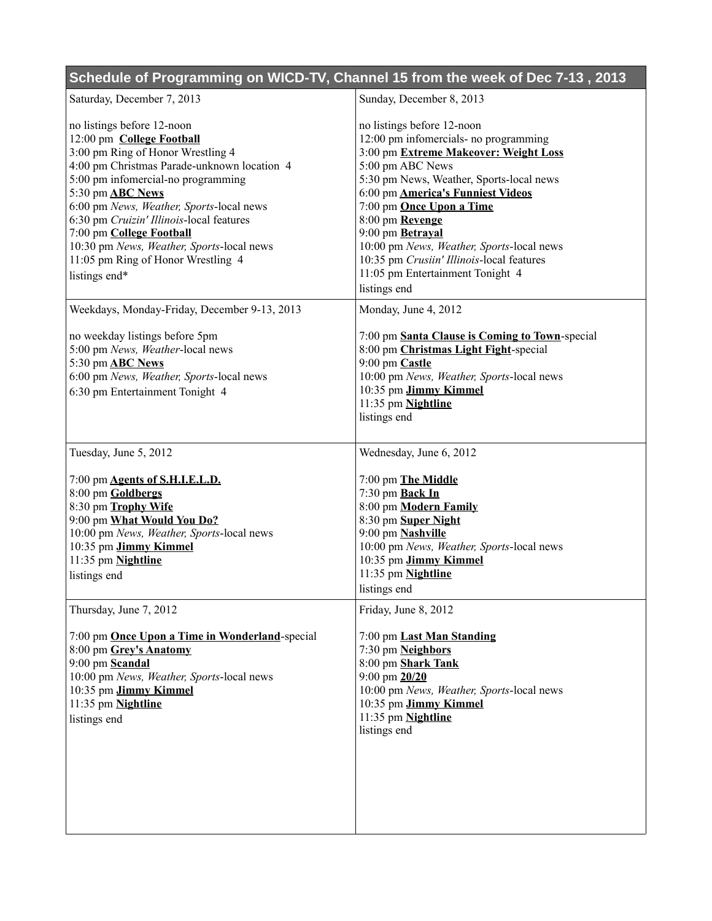| Schedule of Programming on WICD-TV, Channel 15 from the week of Dec 7-13, 2013                                                                                                                                                                                                                                                                                                                                                       |                                                                                                                                                                                                                                                                                                                                                                                                                                                  |
|--------------------------------------------------------------------------------------------------------------------------------------------------------------------------------------------------------------------------------------------------------------------------------------------------------------------------------------------------------------------------------------------------------------------------------------|--------------------------------------------------------------------------------------------------------------------------------------------------------------------------------------------------------------------------------------------------------------------------------------------------------------------------------------------------------------------------------------------------------------------------------------------------|
| Saturday, December 7, 2013                                                                                                                                                                                                                                                                                                                                                                                                           | Sunday, December 8, 2013                                                                                                                                                                                                                                                                                                                                                                                                                         |
| no listings before 12-noon<br>12:00 pm College Football<br>3:00 pm Ring of Honor Wrestling 4<br>4:00 pm Christmas Parade-unknown location 4<br>5:00 pm infomercial-no programming<br>5:30 pm <b>ABC</b> News<br>6:00 pm News, Weather, Sports-local news<br>6:30 pm Cruizin' Illinois-local features<br>7:00 pm College Football<br>10:30 pm News, Weather, Sports-local news<br>11:05 pm Ring of Honor Wrestling 4<br>listings end* | no listings before 12-noon<br>12:00 pm infomercials- no programming<br>3:00 pm Extreme Makeover: Weight Loss<br>5:00 pm ABC News<br>5:30 pm News, Weather, Sports-local news<br>6:00 pm <b>America's Funniest Videos</b><br>7:00 pm <b>Once Upon a Time</b><br>8:00 pm Revenge<br>9:00 pm Betraval<br>10:00 pm News, Weather, Sports-local news<br>10:35 pm Crusiin' Illinois-local features<br>11:05 pm Entertainment Tonight 4<br>listings end |
| Weekdays, Monday-Friday, December 9-13, 2013                                                                                                                                                                                                                                                                                                                                                                                         | Monday, June 4, 2012                                                                                                                                                                                                                                                                                                                                                                                                                             |
| no weekday listings before 5pm<br>5:00 pm News, Weather-local news<br>5:30 pm <b>ABC</b> News<br>6:00 pm News, Weather, Sports-local news<br>6:30 pm Entertainment Tonight 4                                                                                                                                                                                                                                                         | 7:00 pm Santa Clause is Coming to Town-special<br>8:00 pm Christmas Light Fight-special<br>9:00 pm Castle<br>10:00 pm News, Weather, Sports-local news<br>10:35 pm Jimmy Kimmel<br>11:35 pm Nightline<br>listings end                                                                                                                                                                                                                            |
| Tuesday, June 5, 2012                                                                                                                                                                                                                                                                                                                                                                                                                | Wednesday, June 6, 2012                                                                                                                                                                                                                                                                                                                                                                                                                          |
| 7:00 pm <b>Agents of S.H.I.E.L.D.</b><br>8:00 pm Goldbergs<br>8:30 pm Trophy Wife<br>9:00 pm What Would You Do?<br>10:00 pm News, Weather, Sports-local news<br>10:35 pm Jimmy Kimmel<br>11:35 pm Nightline<br>listings end                                                                                                                                                                                                          | 7:00 pm The Middle<br>7:30 pm Back In<br>8:00 pm Modern Family<br>8:30 pm Super Night<br>9:00 pm Nashville<br>10:00 pm News, Weather, Sports-local news<br>10:35 pm Jimmy Kimmel<br>11:35 pm Nightline<br>listings end                                                                                                                                                                                                                           |
| Thursday, June 7, 2012                                                                                                                                                                                                                                                                                                                                                                                                               | Friday, June 8, 2012                                                                                                                                                                                                                                                                                                                                                                                                                             |
| 7:00 pm <b>Once Upon a Time in Wonderland</b> -special<br>8:00 pm Grey's Anatomy<br>9:00 pm Scandal<br>10:00 pm News, Weather, Sports-local news<br>10:35 pm Jimmy Kimmel<br>11:35 pm Nightline<br>listings end                                                                                                                                                                                                                      | 7:00 pm Last Man Standing<br>7:30 pm Neighbors<br>8:00 pm Shark Tank<br>$9:00$ pm $20/20$<br>10:00 pm News, Weather, Sports-local news<br>10:35 pm Jimmy Kimmel<br>11:35 pm Nightline<br>listings end                                                                                                                                                                                                                                            |